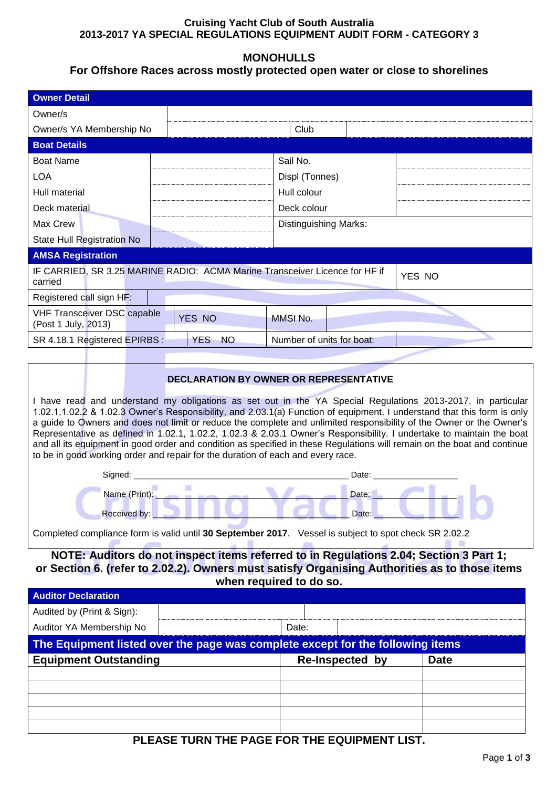### **Cruising Yacht Club of South Australia 2013-2017 YA SPECIAL REGULATIONS EQUIPMENT AUDIT FORM - CATEGORY 3**

## **MONOHULLS**

## **For Offshore Races across mostly protected open water or close to shorelines**

|                                                                                                                                                                                                                                                                                                                                                                                                                                                                                                                                                                                                                                                                                                                                                                                |                                     | o habbo abibbo mboliy protoptoa op |                        |                                |        |  |  |
|--------------------------------------------------------------------------------------------------------------------------------------------------------------------------------------------------------------------------------------------------------------------------------------------------------------------------------------------------------------------------------------------------------------------------------------------------------------------------------------------------------------------------------------------------------------------------------------------------------------------------------------------------------------------------------------------------------------------------------------------------------------------------------|-------------------------------------|------------------------------------|------------------------|--------------------------------|--------|--|--|
| <b>Owner Detail</b>                                                                                                                                                                                                                                                                                                                                                                                                                                                                                                                                                                                                                                                                                                                                                            |                                     |                                    |                        |                                |        |  |  |
| Owner/s                                                                                                                                                                                                                                                                                                                                                                                                                                                                                                                                                                                                                                                                                                                                                                        |                                     |                                    |                        |                                |        |  |  |
| Owner/s YA Membership No                                                                                                                                                                                                                                                                                                                                                                                                                                                                                                                                                                                                                                                                                                                                                       |                                     |                                    | Club                   |                                |        |  |  |
| <b>Boat Details</b>                                                                                                                                                                                                                                                                                                                                                                                                                                                                                                                                                                                                                                                                                                                                                            |                                     |                                    |                        |                                |        |  |  |
| <b>Boat Name</b>                                                                                                                                                                                                                                                                                                                                                                                                                                                                                                                                                                                                                                                                                                                                                               |                                     |                                    | Sail No.               |                                |        |  |  |
| <b>LOA</b>                                                                                                                                                                                                                                                                                                                                                                                                                                                                                                                                                                                                                                                                                                                                                                     |                                     |                                    |                        | Displ (Tonnes)                 |        |  |  |
| Hull material                                                                                                                                                                                                                                                                                                                                                                                                                                                                                                                                                                                                                                                                                                                                                                  |                                     |                                    | Hull colour            |                                |        |  |  |
| Deck material                                                                                                                                                                                                                                                                                                                                                                                                                                                                                                                                                                                                                                                                                                                                                                  |                                     |                                    | Deck colour            |                                |        |  |  |
| Max Crew                                                                                                                                                                                                                                                                                                                                                                                                                                                                                                                                                                                                                                                                                                                                                                       |                                     |                                    |                        | Distinguishing Marks:          |        |  |  |
| State Hull Registration No                                                                                                                                                                                                                                                                                                                                                                                                                                                                                                                                                                                                                                                                                                                                                     |                                     |                                    |                        |                                |        |  |  |
| <b>AMSA Registration</b>                                                                                                                                                                                                                                                                                                                                                                                                                                                                                                                                                                                                                                                                                                                                                       |                                     |                                    |                        |                                |        |  |  |
| IF CARRIED, SR 3.25 MARINE RADIO: ACMA Marine Transceiver Licence for HF if                                                                                                                                                                                                                                                                                                                                                                                                                                                                                                                                                                                                                                                                                                    |                                     |                                    |                        |                                | YES NO |  |  |
| carried                                                                                                                                                                                                                                                                                                                                                                                                                                                                                                                                                                                                                                                                                                                                                                        |                                     |                                    |                        |                                |        |  |  |
| Registered call sign HF:                                                                                                                                                                                                                                                                                                                                                                                                                                                                                                                                                                                                                                                                                                                                                       |                                     |                                    |                        |                                |        |  |  |
| <b>VHF Transceiver DSC capable</b><br>(Post 1 July, 2013)                                                                                                                                                                                                                                                                                                                                                                                                                                                                                                                                                                                                                                                                                                                      |                                     | YES NO                             | MMSI No.               |                                |        |  |  |
| SR 4.18.1 Registered EPIRBS :                                                                                                                                                                                                                                                                                                                                                                                                                                                                                                                                                                                                                                                                                                                                                  | YES NO<br>Number of units for boat: |                                    |                        |                                |        |  |  |
|                                                                                                                                                                                                                                                                                                                                                                                                                                                                                                                                                                                                                                                                                                                                                                                |                                     |                                    |                        |                                |        |  |  |
| DECLARATION BY OWNER OR REPRESENTATIVE<br>I have read and understand my obligations as set out in the YA Special Regulations 2013-2017, in particular<br>1.02.1,1.02.2 & 1.02.3 Owner's Responsibility, and 2.03.1(a) Function of equipment. I understand that this form is only<br>a guide to Owners and does not limit or reduce the complete and unlimited responsibility of the Owner or the Owner's<br>Representative as defined in 1.02.1, 1.02.2, 1.02.3 & 2.03.1 Owner's Responsibility. I undertake to maintain the boat<br>and all its equipment in good order and condition as specified in these Regulations will remain on the boat and continue<br>to be in good working order and repair for the duration of each and every race.<br>Signed: _________<br>Date: |                                     |                                    |                        |                                |        |  |  |
| Name (Print):                                                                                                                                                                                                                                                                                                                                                                                                                                                                                                                                                                                                                                                                                                                                                                  |                                     | 顯                                  | $\mathcal{R}$          | Date: <b>Exercise Products</b> |        |  |  |
| <b>Received by:</b><br>Date:                                                                                                                                                                                                                                                                                                                                                                                                                                                                                                                                                                                                                                                                                                                                                   |                                     |                                    |                        |                                |        |  |  |
| Completed compliance form is valid until 30 September 2017. Vessel is subject to spot check SR 2.02.2                                                                                                                                                                                                                                                                                                                                                                                                                                                                                                                                                                                                                                                                          |                                     |                                    |                        |                                |        |  |  |
| NOTE: Auditors do not inspect items referred to in Regulations 2.04; Section 3 Part 1;<br>or Section 6. (refer to 2.02.2). Owners must satisfy Organising Authorities as to those items<br>when required to do so.                                                                                                                                                                                                                                                                                                                                                                                                                                                                                                                                                             |                                     |                                    |                        |                                |        |  |  |
| <b>Auditor Declaration</b>                                                                                                                                                                                                                                                                                                                                                                                                                                                                                                                                                                                                                                                                                                                                                     |                                     |                                    |                        |                                |        |  |  |
| Audited by (Print & Sign):                                                                                                                                                                                                                                                                                                                                                                                                                                                                                                                                                                                                                                                                                                                                                     |                                     |                                    |                        |                                |        |  |  |
| Auditor YA Membership No                                                                                                                                                                                                                                                                                                                                                                                                                                                                                                                                                                                                                                                                                                                                                       | Date:                               |                                    |                        |                                |        |  |  |
| The Equipment listed over the page was complete except for the following items                                                                                                                                                                                                                                                                                                                                                                                                                                                                                                                                                                                                                                                                                                 |                                     |                                    |                        |                                |        |  |  |
| <b>Equipment Outstanding</b>                                                                                                                                                                                                                                                                                                                                                                                                                                                                                                                                                                                                                                                                                                                                                   |                                     |                                    | <b>Re-Inspected by</b> | <b>Date</b>                    |        |  |  |
|                                                                                                                                                                                                                                                                                                                                                                                                                                                                                                                                                                                                                                                                                                                                                                                |                                     |                                    |                        |                                |        |  |  |
|                                                                                                                                                                                                                                                                                                                                                                                                                                                                                                                                                                                                                                                                                                                                                                                |                                     |                                    |                        |                                |        |  |  |

# **PLEASE TURN THE PAGE FOR THE EQUIPMENT LIST.**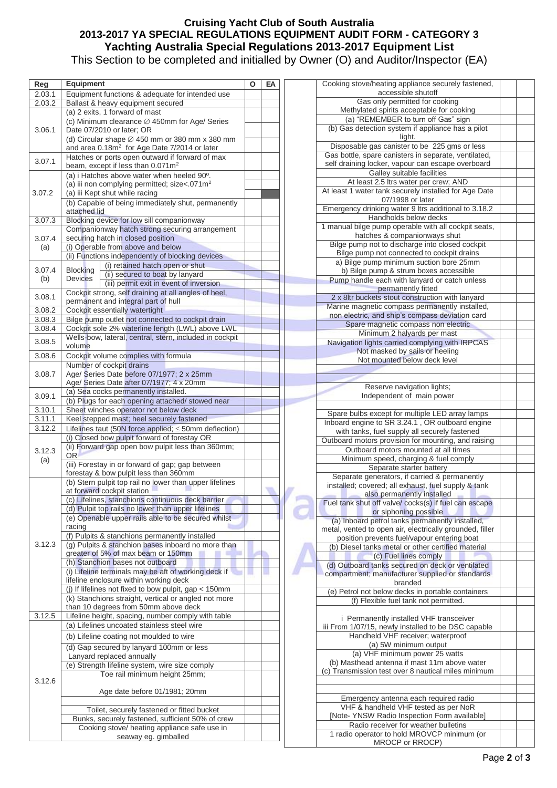### **Cruising Yacht Club of South Australia 2013-2017 YA SPECIAL REGULATIONS EQUIPMENT AUDIT FORM - CATEGORY 3 Yachting Australia Special Regulations 2013-2017 Equipment List** This Section to be completed and initialled by Owner (O) and Auditor/Inspector (EA)

| Reg    | <b>Equipment</b>                                                                           | Ο | EA |  |  |  |
|--------|--------------------------------------------------------------------------------------------|---|----|--|--|--|
|        |                                                                                            |   |    |  |  |  |
| 2.03.1 | Equipment functions & adequate for intended use                                            |   |    |  |  |  |
| 2.03.2 | Ballast & heavy equipment secured<br>(a) 2 exits, 1 forward of mast                        |   |    |  |  |  |
|        |                                                                                            |   |    |  |  |  |
|        | (c) Minimum clearance Ø 450mm for Age/ Series<br>Date 07/2010 or later; OR                 |   |    |  |  |  |
| 3.06.1 |                                                                                            |   |    |  |  |  |
|        | (d) Circular shape $\varnothing$ 450 mm or 380 mm x 380 mm                                 |   |    |  |  |  |
|        | and area 0.18m <sup>2</sup> for Age Date 7/2014 or later                                   |   |    |  |  |  |
| 3.07.1 | Hatches or ports open outward if forward of max                                            |   |    |  |  |  |
|        | beam, except if less than 0.071m <sup>2</sup>                                              |   |    |  |  |  |
|        | (a) i Hatches above water when heeled 90°.                                                 |   |    |  |  |  |
|        | (a) iii non complying permitted; size<.071m <sup>2</sup>                                   |   |    |  |  |  |
| 3.07.2 | (a) iii Kept shut while racing                                                             |   |    |  |  |  |
|        | (b) Capable of being immediately shut, permanently                                         |   |    |  |  |  |
|        | attached lid                                                                               |   |    |  |  |  |
| 3.07.3 | Blocking device for low sill companionway                                                  |   |    |  |  |  |
|        | Companionway hatch strong securing arrangement                                             |   |    |  |  |  |
| 3.07.4 | securing hatch in closed position                                                          |   |    |  |  |  |
| (a)    | (i) Operable from above and below                                                          |   |    |  |  |  |
|        | (ii) Functions independently of blocking devices                                           |   |    |  |  |  |
| 3.07.4 | (i) retained hatch open or shut<br><b>Blocking</b>                                         |   |    |  |  |  |
| (b)    | (ii) secured to boat by lanyard<br><b>Devices</b>                                          |   |    |  |  |  |
|        | (iii) permit exit in event of inversion                                                    |   |    |  |  |  |
| 3.08.1 | Cockpit strong, self draining at all angles of heel,                                       |   |    |  |  |  |
|        | permanent and integral part of hull<br>Cockpit essentially watertight                      |   |    |  |  |  |
| 3.08.2 |                                                                                            |   |    |  |  |  |
| 3.08.3 | Bilge pump outlet not connected to cockpit drain                                           |   |    |  |  |  |
| 3.08.4 | Cockpit sole 2% waterline length (LWL) above LWL                                           |   |    |  |  |  |
| 3.08.5 | Wells-bow, lateral, central, stern, included in cockpit                                    |   |    |  |  |  |
|        | volume                                                                                     |   |    |  |  |  |
| 3.08.6 | Cockpit volume complies with formula                                                       |   |    |  |  |  |
|        | Number of cockpit drains                                                                   |   |    |  |  |  |
| 3.08.7 | Age/ Series Date before 07/1977; 2 x 25mm                                                  |   |    |  |  |  |
|        | Age/ Series Date after 07/1977; 4 x 20mm                                                   |   |    |  |  |  |
| 3.09.1 | (a) Sea cocks permanently installed.                                                       |   |    |  |  |  |
|        | (b) Plugs for each opening attached/ stowed near                                           |   |    |  |  |  |
| 3.10.1 | Sheet winches operator not below deck                                                      |   |    |  |  |  |
| 3.11.1 | Keel stepped mast; heel securely fastened                                                  |   |    |  |  |  |
| 3.12.2 | Lifelines taut (50N force applied; $\leq$ 50mm deflection)                                 |   |    |  |  |  |
|        | (i) Closed bow pulpit forward of forestay OR                                               |   |    |  |  |  |
| 3.12.3 | (ii) Forward gap open bow pulpit less than 360mm;                                          |   |    |  |  |  |
| (a)    | <b>OR</b>                                                                                  |   |    |  |  |  |
|        | (iii) Forestay in or forward of gap; gap between                                           |   |    |  |  |  |
|        | forestay & bow pulpit less than 360mm                                                      |   |    |  |  |  |
|        | (b) Stern pulpit top rail no lower than upper lifelines                                    |   |    |  |  |  |
|        | at forward cockpit station                                                                 |   |    |  |  |  |
|        | (c) Lifelines, stanchions continuous deck barrier                                          |   |    |  |  |  |
|        | (d) Pulpit top rails no lower than upper lifelines                                         |   |    |  |  |  |
|        | (e) Openable upper rails able to be secured whilst                                         |   |    |  |  |  |
|        | racing                                                                                     |   |    |  |  |  |
|        | (f) Pulpits & stanchions permanently installed                                             |   |    |  |  |  |
| 3.12.3 | (g) Pulpits & stanchion bases inboard no more than                                         |   |    |  |  |  |
|        | greater of 5% of max beam or 150mm                                                         |   |    |  |  |  |
|        | (h) Stanchion bases not outboard                                                           |   |    |  |  |  |
|        | (i) Lifeline terminals may be aft of working deck if                                       |   |    |  |  |  |
|        | lifeline enclosure within working deck                                                     |   |    |  |  |  |
|        | (j) If lifelines not fixed to bow pulpit, gap < 150mm                                      |   |    |  |  |  |
|        | (k) Stanchions straight, vertical or angled not more                                       |   |    |  |  |  |
|        | than 10 degrees from 50mm above deck<br>Lifeline height, spacing, number comply with table |   |    |  |  |  |
| 3.12.5 | (a) Lifelines uncoated stainless steel wire                                                |   |    |  |  |  |
|        |                                                                                            |   |    |  |  |  |
|        | (b) Lifeline coating not moulded to wire                                                   |   |    |  |  |  |
|        | (d) Gap secured by lanyard 100mm or less                                                   |   |    |  |  |  |
|        | Lanyard replaced annually                                                                  |   |    |  |  |  |
|        | (e) Strength lifeline system, wire size comply                                             |   |    |  |  |  |
|        | Toe rail minimum height 25mm;                                                              |   |    |  |  |  |
| 3.12.6 |                                                                                            |   |    |  |  |  |
|        | Age date before 01/1981; 20mm                                                              |   |    |  |  |  |
|        |                                                                                            |   |    |  |  |  |
|        | Toilet, securely fastened or fitted bucket                                                 |   |    |  |  |  |
|        | Bunks, securely fastened, sufficient 50% of crew                                           |   |    |  |  |  |
|        | Cooking stove/ heating appliance safe use in                                               |   |    |  |  |  |
|        | seaway eg. gimballed                                                                       |   |    |  |  |  |

| Cooking stove/heating appliance securely fastened,                                                      |  |
|---------------------------------------------------------------------------------------------------------|--|
| accessible shutoff                                                                                      |  |
| Gas only permitted for cooking                                                                          |  |
| Methylated spirits acceptable for cooking<br>(a) "REMEMBER to turn off Gas" sign                        |  |
| (b) Gas detection system if appliance has a pilot                                                       |  |
| light.                                                                                                  |  |
| Disposable gas canister to be 225 gms or less                                                           |  |
| Gas bottle, spare canisters in separate, ventilated,                                                    |  |
| self draining locker, vapour can escape overboard                                                       |  |
| Galley suitable facilities                                                                              |  |
| At least 2.5 ltrs water per crew; AND                                                                   |  |
| At least 1 water tank securely installed for Age Date                                                   |  |
| 07/1998 or later                                                                                        |  |
| Emergency drinking water 9 ltrs additional to 3.18.2<br>Handholds below decks                           |  |
| 1 manual bilge pump operable with all cockpit seats,                                                    |  |
| hatches & companionways shut                                                                            |  |
| Bilge pump not to discharge into closed cockpit                                                         |  |
| Bilge pump not connected to cockpit drains                                                              |  |
| a) Bilge pump minimum suction bore 25mm                                                                 |  |
| b) Bilge pump & strum boxes accessible                                                                  |  |
| Pump handle each with lanyard or catch unless                                                           |  |
| permanently fitted<br>2 x 8ltr buckets stout construction with lanyard                                  |  |
| Marine magnetic compass permanently installed,                                                          |  |
| non electric, and ship's compass deviation card                                                         |  |
| Spare magnetic compass non electric                                                                     |  |
| Minimum 2 halyards per mast                                                                             |  |
| Navigation lights carried complying with IRPCAS                                                         |  |
| Not masked by sails or heeling                                                                          |  |
| Not mounted below deck level                                                                            |  |
|                                                                                                         |  |
| Reserve navigation lights;                                                                              |  |
| Independent of main power                                                                               |  |
|                                                                                                         |  |
|                                                                                                         |  |
| Spare bulbs except for multiple LED array lamps                                                         |  |
| Inboard engine to SR 3.24.1, OR outboard engine                                                         |  |
| with tanks, fuel supply all securely fastened                                                           |  |
| Outboard motors provision for mounting, and raising                                                     |  |
| Outboard motors mounted at all times                                                                    |  |
| Minimum speed, charging & fuel comply<br>Separate starter battery                                       |  |
| Separate generators, if carried & permanently                                                           |  |
| installed; covered; all exhaust, fuel supply & tank                                                     |  |
| also permanently installed                                                                              |  |
| Fuel tank shut off valve/cocks(s) if fuel can escape                                                    |  |
| or siphoning possible                                                                                   |  |
| (a) Inboard petrol tanks permanently installed,                                                         |  |
| metal, vented to open air, electrically grounded, filler<br>position prevents fuel/vapour entering boat |  |
| (b) Diesel tanks metal or other certified material                                                      |  |
| (c) Fuel lines comply                                                                                   |  |
| (d) Outboard tanks secured on deck or ventilated                                                        |  |
| compartment; manufacturer supplied or standards                                                         |  |
| branded                                                                                                 |  |
| (e) Petrol not below decks in portable containers                                                       |  |
| (f) Flexible fuel tank not permitted.                                                                   |  |
| i Permanently installed VHF transceiver                                                                 |  |
| iii From 1/07/15, newly installed to be DSC capable                                                     |  |
| Handheld VHF receiver; waterproof                                                                       |  |
| (a) 5W minimum output                                                                                   |  |
| (a) VHF minimum power 25 watts                                                                          |  |
| (b) Masthead antenna if mast 11m above water<br>(c) Transmission test over 8 nautical miles minimum     |  |
|                                                                                                         |  |
|                                                                                                         |  |
| Emergency antenna each required radio                                                                   |  |
| VHF & handheld VHF tested as per NoR                                                                    |  |
| [Note- YNSW Radio Inspection Form available]                                                            |  |
| Radio receiver for weather bulletins<br>1 radio operator to hold MROVCP minimum (or                     |  |